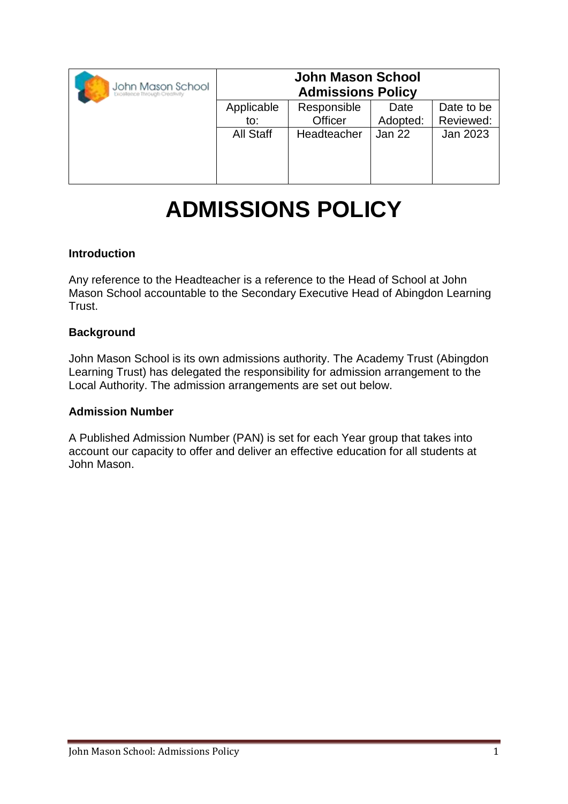| John Mason School<br>Excellence Through Creativity | <b>John Mason School</b><br><b>Admissions Policy</b> |             |          |            |
|----------------------------------------------------|------------------------------------------------------|-------------|----------|------------|
|                                                    | Applicable                                           | Responsible | Date     | Date to be |
|                                                    | $\mathsf{to}$ :                                      | Officer     | Adopted: | Reviewed:  |
|                                                    | All Staff                                            | Headteacher | Jan 22   | Jan 2023   |
|                                                    |                                                      |             |          |            |
|                                                    |                                                      |             |          |            |
|                                                    |                                                      |             |          |            |

# **ADMISSIONS POLICY**

## **Introduction**

Any reference to the Headteacher is a reference to the Head of School at John Mason School accountable to the Secondary Executive Head of Abingdon Learning Trust.

## **Background**

John Mason School is its own admissions authority. The Academy Trust (Abingdon Learning Trust) has delegated the responsibility for admission arrangement to the Local Authority. The admission arrangements are set out below.

#### **Admission Number**

A Published Admission Number (PAN) is set for each Year group that takes into account our capacity to offer and deliver an effective education for all students at John Mason.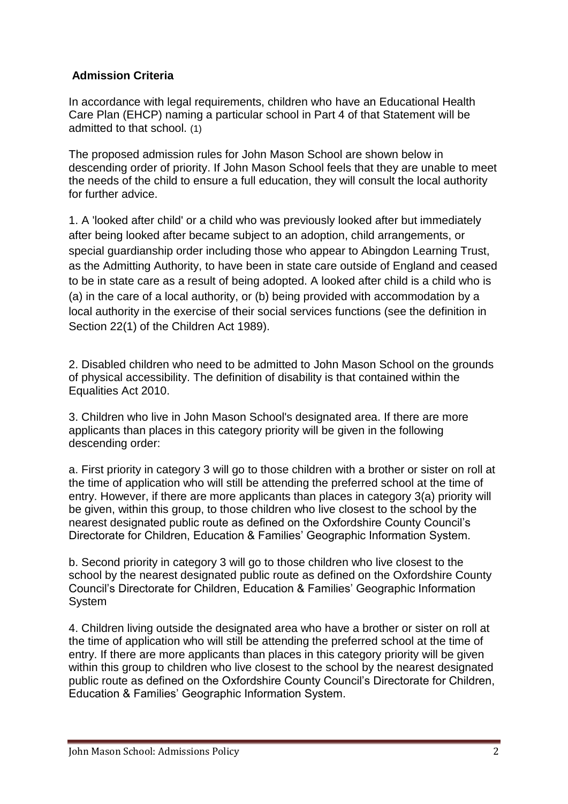# **Admission Criteria**

In accordance with legal requirements, children who have an Educational Health Care Plan (EHCP) naming a particular school in Part 4 of that Statement will be admitted to that school. (1)

The proposed admission rules for John Mason School are shown below in descending order of priority. If John Mason School feels that they are unable to meet the needs of the child to ensure a full education, they will consult the local authority for further advice.

1. A 'looked after child' or a child who was previously looked after but immediately after being looked after became subject to an adoption, child arrangements, or special guardianship order including those who appear to Abingdon Learning Trust, as the Admitting Authority, to have been in state care outside of England and ceased to be in state care as a result of being adopted. A looked after child is a child who is (a) in the care of a local authority, or (b) being provided with accommodation by a local authority in the exercise of their social services functions (see the definition in Section 22(1) of the Children Act 1989).

2. Disabled children who need to be admitted to John Mason School on the grounds of physical accessibility. The definition of disability is that contained within the Equalities Act 2010.

3. Children who live in John Mason School's designated area. If there are more applicants than places in this category priority will be given in the following descending order:

a. First priority in category 3 will go to those children with a brother or sister on roll at the time of application who will still be attending the preferred school at the time of entry. However, if there are more applicants than places in category 3(a) priority will be given, within this group, to those children who live closest to the school by the nearest designated public route as defined on the Oxfordshire County Council's Directorate for Children, Education & Families' Geographic Information System.

b. Second priority in category 3 will go to those children who live closest to the school by the nearest designated public route as defined on the Oxfordshire County Council's Directorate for Children, Education & Families' Geographic Information System

4. Children living outside the designated area who have a brother or sister on roll at the time of application who will still be attending the preferred school at the time of entry. If there are more applicants than places in this category priority will be given within this group to children who live closest to the school by the nearest designated public route as defined on the Oxfordshire County Council's Directorate for Children, Education & Families' Geographic Information System.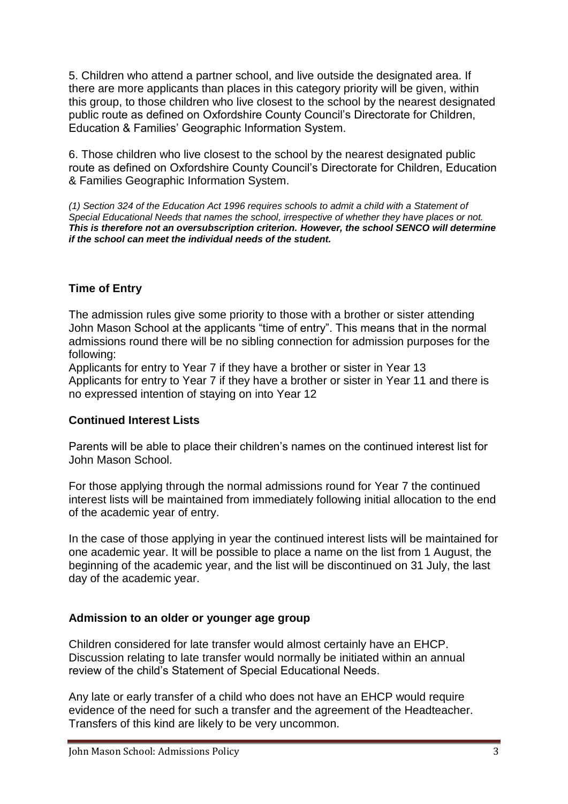5. Children who attend a partner school, and live outside the designated area. If there are more applicants than places in this category priority will be given, within this group, to those children who live closest to the school by the nearest designated public route as defined on Oxfordshire County Council's Directorate for Children, Education & Families' Geographic Information System.

6. Those children who live closest to the school by the nearest designated public route as defined on Oxfordshire County Council's Directorate for Children, Education & Families Geographic Information System.

*(1) Section 324 of the Education Act 1996 requires schools to admit a child with a Statement of Special Educational Needs that names the school, irrespective of whether they have places or not. This is therefore not an oversubscription criterion. However, the school SENCO will determine if the school can meet the individual needs of the student.*

# **Time of Entry**

The admission rules give some priority to those with a brother or sister attending John Mason School at the applicants "time of entry". This means that in the normal admissions round there will be no sibling connection for admission purposes for the following:

Applicants for entry to Year 7 if they have a brother or sister in Year 13 Applicants for entry to Year 7 if they have a brother or sister in Year 11 and there is no expressed intention of staying on into Year 12

## **Continued Interest Lists**

Parents will be able to place their children's names on the continued interest list for John Mason School.

For those applying through the normal admissions round for Year 7 the continued interest lists will be maintained from immediately following initial allocation to the end of the academic year of entry.

In the case of those applying in year the continued interest lists will be maintained for one academic year. It will be possible to place a name on the list from 1 August, the beginning of the academic year, and the list will be discontinued on 31 July, the last day of the academic year.

#### **Admission to an older or younger age group**

Children considered for late transfer would almost certainly have an EHCP. Discussion relating to late transfer would normally be initiated within an annual review of the child's Statement of Special Educational Needs.

Any late or early transfer of a child who does not have an EHCP would require evidence of the need for such a transfer and the agreement of the Headteacher. Transfers of this kind are likely to be very uncommon.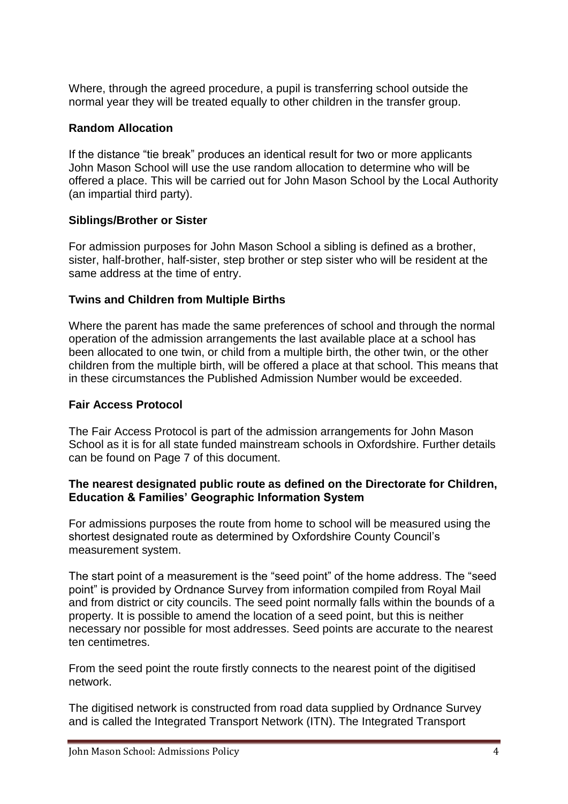Where, through the agreed procedure, a pupil is transferring school outside the normal year they will be treated equally to other children in the transfer group.

## **Random Allocation**

If the distance "tie break" produces an identical result for two or more applicants John Mason School will use the use random allocation to determine who will be offered a place. This will be carried out for John Mason School by the Local Authority (an impartial third party).

## **Siblings/Brother or Sister**

For admission purposes for John Mason School a sibling is defined as a brother, sister, half-brother, half-sister, step brother or step sister who will be resident at the same address at the time of entry.

## **Twins and Children from Multiple Births**

Where the parent has made the same preferences of school and through the normal operation of the admission arrangements the last available place at a school has been allocated to one twin, or child from a multiple birth, the other twin, or the other children from the multiple birth, will be offered a place at that school. This means that in these circumstances the Published Admission Number would be exceeded.

#### **Fair Access Protocol**

The Fair Access Protocol is part of the admission arrangements for John Mason School as it is for all state funded mainstream schools in Oxfordshire. Further details can be found on Page 7 of this document.

#### **The nearest designated public route as defined on the Directorate for Children, Education & Families' Geographic Information System**

For admissions purposes the route from home to school will be measured using the shortest designated route as determined by Oxfordshire County Council's measurement system.

The start point of a measurement is the "seed point" of the home address. The "seed point" is provided by Ordnance Survey from information compiled from Royal Mail and from district or city councils. The seed point normally falls within the bounds of a property. It is possible to amend the location of a seed point, but this is neither necessary nor possible for most addresses. Seed points are accurate to the nearest ten centimetres.

From the seed point the route firstly connects to the nearest point of the digitised network.

The digitised network is constructed from road data supplied by Ordnance Survey and is called the Integrated Transport Network (ITN). The Integrated Transport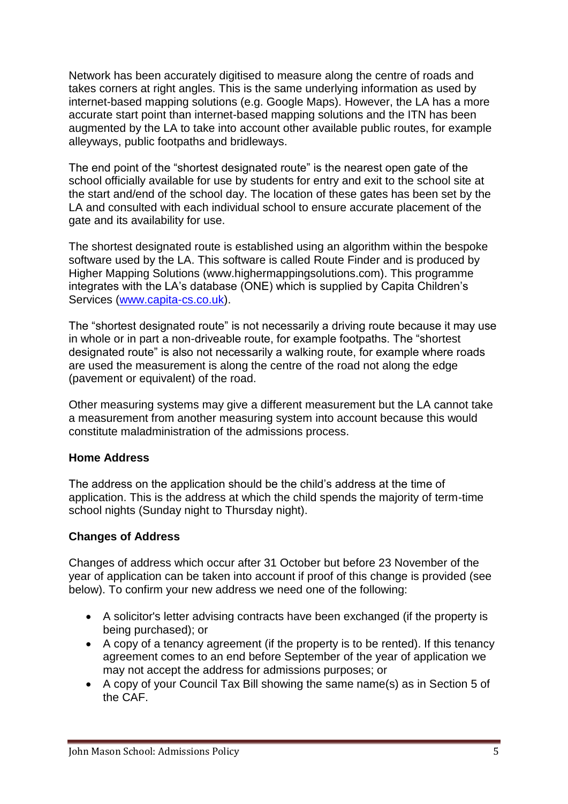Network has been accurately digitised to measure along the centre of roads and takes corners at right angles. This is the same underlying information as used by internet-based mapping solutions (e.g. Google Maps). However, the LA has a more accurate start point than internet-based mapping solutions and the ITN has been augmented by the LA to take into account other available public routes, for example alleyways, public footpaths and bridleways.

The end point of the "shortest designated route" is the nearest open gate of the school officially available for use by students for entry and exit to the school site at the start and/end of the school day. The location of these gates has been set by the LA and consulted with each individual school to ensure accurate placement of the gate and its availability for use.

The shortest designated route is established using an algorithm within the bespoke software used by the LA. This software is called Route Finder and is produced by Higher Mapping Solutions (www.highermappingsolutions.com). This programme integrates with the LA's database (ONE) which is supplied by Capita Children's Services [\(www.capita-cs.co.uk\)](http://www.capita-cs.co.uk/).

The "shortest designated route" is not necessarily a driving route because it may use in whole or in part a non-driveable route, for example footpaths. The "shortest designated route" is also not necessarily a walking route, for example where roads are used the measurement is along the centre of the road not along the edge (pavement or equivalent) of the road.

Other measuring systems may give a different measurement but the LA cannot take a measurement from another measuring system into account because this would constitute maladministration of the admissions process.

## **Home Address**

The address on the application should be the child's address at the time of application. This is the address at which the child spends the majority of term-time school nights (Sunday night to Thursday night).

#### **Changes of Address**

Changes of address which occur after 31 October but before 23 November of the year of application can be taken into account if proof of this change is provided (see below). To confirm your new address we need one of the following:

- A solicitor's letter advising contracts have been exchanged (if the property is being purchased); or
- A copy of a tenancy agreement (if the property is to be rented). If this tenancy agreement comes to an end before September of the year of application we may not accept the address for admissions purposes; or
- A copy of your Council Tax Bill showing the same name(s) as in Section 5 of the CAF.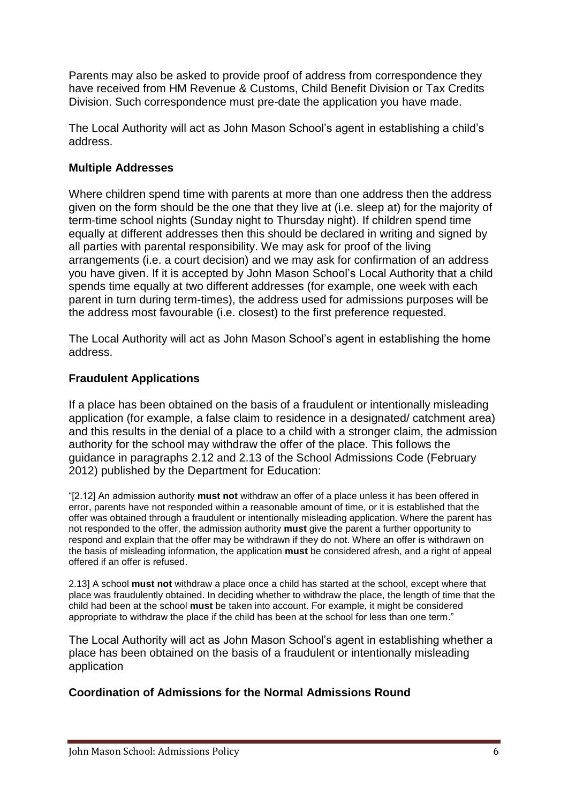Parents may also be asked to provide proof of address from correspondence they have received from HM Revenue & Customs, Child Benefit Division or Tax Credits Division. Such correspondence must pre-date the application you have made.

The Local Authority will act as John Mason School's agent in establishing a child's address.

## **Multiple Addresses**

Where children spend time with parents at more than one address then the address given on the form should be the one that they live at (i.e. sleep at) for the majority of term-time school nights (Sunday night to Thursday night). If children spend time equally at different addresses then this should be declared in writing and signed by all parties with parental responsibility. We may ask for proof of the living arrangements (i.e. a court decision) and we may ask for confirmation of an address you have given. If it is accepted by John Mason School's Local Authority that a child spends time equally at two different addresses (for example, one week with each parent in turn during term-times), the address used for admissions purposes will be the address most favourable (i.e. closest) to the first preference requested.

The Local Authority will act as John Mason School's agent in establishing the home address.

## **Fraudulent Applications**

If a place has been obtained on the basis of a fraudulent or intentionally misleading application (for example, a false claim to residence in a designated/ catchment area) and this results in the denial of a place to a child with a stronger claim, the admission authority for the school may withdraw the offer of the place. This follows the guidance in paragraphs 2.12 and 2.13 of the School Admissions Code (February 2012) published by the Department for Education:

"[2.12] An admission authority **must not** withdraw an offer of a place unless it has been offered in error, parents have not responded within a reasonable amount of time, or it is established that the offer was obtained through a fraudulent or intentionally misleading application. Where the parent has not responded to the offer, the admission authority **must** give the parent a further opportunity to respond and explain that the offer may be withdrawn if they do not. Where an offer is withdrawn on the basis of misleading information, the application **must** be considered afresh, and a right of appeal offered if an offer is refused.

2.13] A school **must not** withdraw a place once a child has started at the school, except where that place was fraudulently obtained. In deciding whether to withdraw the place, the length of time that the child had been at the school **must** be taken into account. For example, it might be considered appropriate to withdraw the place if the child has been at the school for less than one term."

The Local Authority will act as John Mason School's agent in establishing whether a place has been obtained on the basis of a fraudulent or intentionally misleading application

## **Coordination of Admissions for the Normal Admissions Round**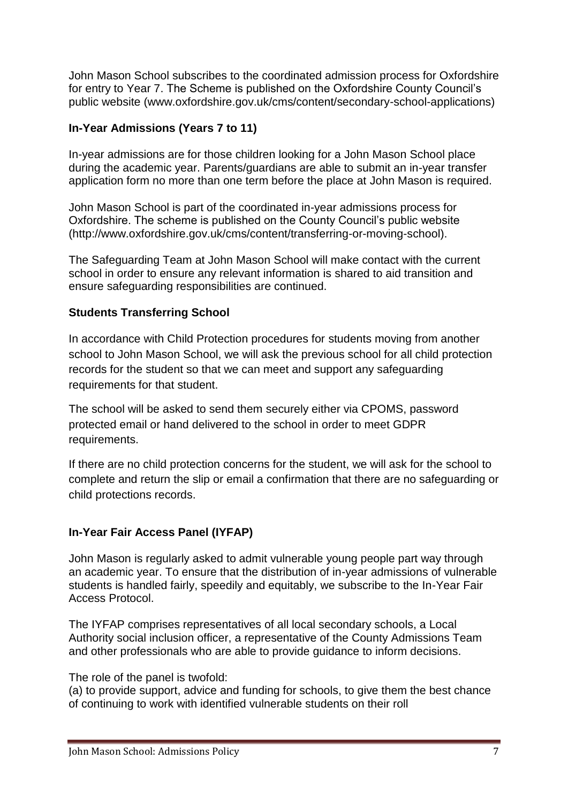John Mason School subscribes to the coordinated admission process for Oxfordshire for entry to Year 7. The Scheme is published on the Oxfordshire County Council's public website (www.oxfordshire.gov.uk/cms/content/secondary-school-applications)

# **In-Year Admissions (Years 7 to 11)**

In-year admissions are for those children looking for a John Mason School place during the academic year. Parents/guardians are able to submit an in-year transfer application form no more than one term before the place at John Mason is required.

John Mason School is part of the coordinated in-year admissions process for Oxfordshire. The scheme is published on the County Council's public website (http://www.oxfordshire.gov.uk/cms/content/transferring-or-moving-school).

The Safeguarding Team at John Mason School will make contact with the current school in order to ensure any relevant information is shared to aid transition and ensure safeguarding responsibilities are continued.

## **Students Transferring School**

In accordance with Child Protection procedures for students moving from another school to John Mason School, we will ask the previous school for all child protection records for the student so that we can meet and support any safeguarding requirements for that student.

The school will be asked to send them securely either via CPOMS, password protected email or hand delivered to the school in order to meet GDPR requirements.

If there are no child protection concerns for the student, we will ask for the school to complete and return the slip or email a confirmation that there are no safeguarding or child protections records.

## **In-Year Fair Access Panel (IYFAP)**

John Mason is regularly asked to admit vulnerable young people part way through an academic year. To ensure that the distribution of in-year admissions of vulnerable students is handled fairly, speedily and equitably, we subscribe to the In-Year Fair Access Protocol.

The IYFAP comprises representatives of all local secondary schools, a Local Authority social inclusion officer, a representative of the County Admissions Team and other professionals who are able to provide guidance to inform decisions.

The role of the panel is twofold:

(a) to provide support, advice and funding for schools, to give them the best chance of continuing to work with identified vulnerable students on their roll